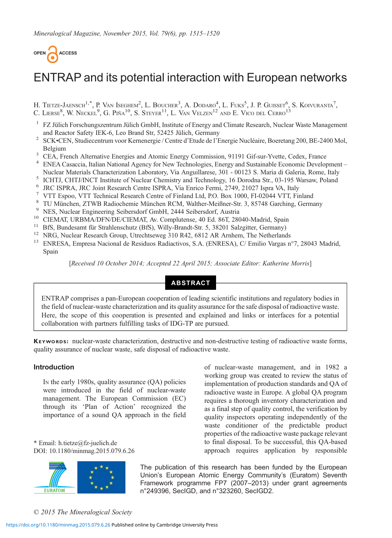

# ENTRAP and its potential interaction with European networks

H. Tietze-Jaensch<sup>1,\*</sup>, P. Van Iseghem<sup>2</sup>, L. Boucher<sup>3</sup>, A. Dodaro<sup>4</sup>, L. Fuks<sup>5</sup>, J. P. Guisset<sup>6</sup>, S. Koivuranta<sup>7</sup>, C. LIERSE<sup>8</sup>, W. Neckel<sup>9</sup>, G. Piña<sup>10</sup>, S. Steyer<sup>11</sup>, L. Van Velzen<sup>12</sup> and E. Vico del Cerro<sup>13</sup>

- <sup>1</sup> FZ Jülich Forschungszentrum Jülich GmbH, Institute of Energy and Climate Research, Nuclear Waste Management
- and Reactor Safety IEK-6, Leo Brand Str, 52425 Jülich, Germany<br>
<sup>2</sup> SCK•CEN, Studiecentrum voor Kernenergie / Centre d'Etude de l'Energie Nucléaire, Boeretang 200, BE-2400 Mol,<br>
Relatium
- 
- Belgium 3 CEA, French Alternative Energies and Atomic Energy Commission, 91191 Gif-sur-Yvette, Cedex, France 4 ENEA Casaccia, Italian National Agency for New Technologies, Energy and Sustainable Economic Development –
- 
- 
- 
- 
- 
- 
- 
- 
- Nuclear Materials Characterization Laboratory, Via Anguillarese, 301 00123 S. Maria di Galeria, Rome, Italy<br>
<sup>5</sup> ICHTJ, CHTJ/INCT Institute of Nuclear Chemistry and Technology, 16 Dorodna Str., 03-195 Warsaw, Poland<br>
<sup>6</sup> Spain

[Received 10 October 2014; Accepted 22 April 2015; Associate Editor: Katherine Morris]

## ABSTRACT

ENTRAP comprises a pan-European cooperation of leading scientific institutions and regulatory bodies in the field of nuclear-waste characterization and its quality assurance for the safe disposal of radioactive waste. Here, the scope of this cooperation is presented and explained and links or interfaces for a potential collaboration with partners fulfilling tasks of IDG-TP are pursued.

KEYWORDS: nuclear-waste characterization, destructive and non-destructive testing of radioactive waste forms, quality assurance of nuclear waste, safe disposal of radioactive waste.

#### Introduction

IN the early 1980s, quality assurance (QA) policies were introduced in the field of nuclear-waste management. The European Commission (EC) through its 'Plan of Action' recognized the importance of a sound QA approach in the field

\* Email: [h.tietze@fz-juelich.de](mailto:h.tietze@fz-juelich.de) DOI: 10.1180/minmag.2015.079.6.26



of nuclear-waste management, and in 1982 a working group was created to review the status of implementation of production standards and QA of radioactive waste in Europe. A global QA program requires a thorough inventory characterization and as a final step of quality control, the verification by quality inspectors operating independently of the waste conditioner of the predictable product properties of the radioactive waste package relevant to final disposal. To be successful, this QA-based approach requires application by responsible

The publication of this research has been funded by the European Union's European Atomic Energy Community's (Euratom) Seventh Framework programme FP7 (2007–2013) under grant agreements n°249396, SecIGD, and n°323260, SecIGD2.

© 2015 The Mineralogical Society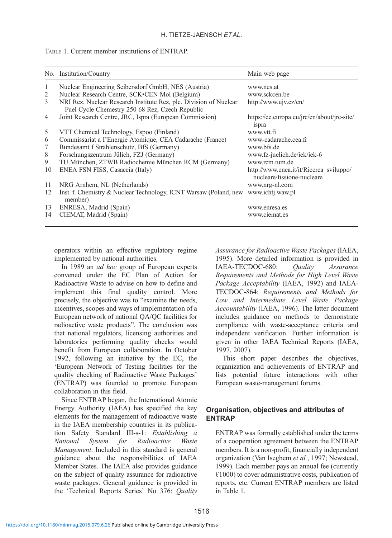TABLE 1. Current member institutions of ENTRAP.

|    | No. Institution/Country                                                                                              | Main web page                                                         |
|----|----------------------------------------------------------------------------------------------------------------------|-----------------------------------------------------------------------|
| 1  | Nuclear Engineering Seibersdorf GmbH, NES (Austria)                                                                  | www.nes.at                                                            |
| 2  | Nuclear Research Centre, SCK•CEN Mol (Belgium)                                                                       | www.sckcen.be                                                         |
| 3  | NRI Rez, Nuclear Research Institute Rez, plc. Division of Nuclear<br>Fuel Cycle Chemestry 250 68 Rez, Czech Republic | http://www.ujv.cz/en/                                                 |
| 4  | Joint Research Centre, JRC, Ispra (European Commission)                                                              | https://ec.europa.eu/jrc/en/about/jrc-site/<br>ispra                  |
| 5  | VTT Chemical Technology, Espoo (Finland)                                                                             | www.ytt.fi                                                            |
| 6  | Commissariat a l'Energie Atomique, CEA Cadarache (France)                                                            | www-cadarache.cea.fr                                                  |
| 7  | Bundesamt f Strahlenschutz, BfS (Germany)                                                                            | www.bfs.de                                                            |
| 8  | Forschungszentrum Jülich, FZJ (Germany)                                                                              | www.fz-juelich.de/iek/iek-6                                           |
| 9  | TU München, ZTWB Radiochemie München RCM (Germany)                                                                   | www.rcm.tum.de                                                        |
| 10 | ENEA FSN FISS, Casaccia (Italy)                                                                                      | http://www.enea.it/it/Ricerca sviluppo/<br>nucleare/fissione-nucleare |
| 11 | NRG Arnhem, NL (Netherlands)                                                                                         | www.nrg-nl.com                                                        |
| 12 | Inst. f. Chemistry & Nuclear Technology, ICNT Warsaw (Poland, new www.ichtj.waw.pl<br>member)                        |                                                                       |
| 13 | ENRESA, Madrid (Spain)                                                                                               | www.enresa.es                                                         |
| 14 | CIEMAT, Madrid (Spain)                                                                                               | www.ciemat.es                                                         |

operators within an effective regulatory regime implemented by national authorities.

In 1989 an *ad hoc* group of European experts convened under the EC Plan of Action for Radioactive Waste to advise on how to define and implement this final quality control. More precisely, the objective was to "examine the needs, incentives, scopes and ways of implementation of a European network of national QA/QC facilities for radioactive waste products". The conclusion was that national regulators, licensing authorities and laboratories performing quality checks would benefit from European collaboration. In October 1992, following an initiative by the EC, the 'European Network of Testing facilities for the quality checking of Radioactive Waste Packages' (ENTRAP) was founded to promote European collaboration in this field.

Since ENTRAP began, the International Atomic Energy Authority (IAEA) has specified the key elements for the management of radioactive waste in the IAEA membership countries in its publication Safety Standard III-s-1: Establishing a National System for Radioactive Waste Management. Included in this standard is general guidance about the responsibilities of IAEA Member States. The IAEA also provides guidance on the subject of quality assurance for radioactive waste packages. General guidance is provided in the 'Technical Reports Series' No 376: Quality Assurance for Radioactive Waste Packages [\(IAEA,](#page-4-0) [1995\)](#page-4-0). More detailed information is provided in<br>IAEA-TECDOC-680: Ouality Assurance IAEA-TECDOC-680: Quality Assurance Requirements and Methods for High Level Waste Package Acceptability ([IAEA, 1992\)](#page-4-0) and IAEA-TECDOC-864: Requirements and Methods for Low and Intermediate Level Waste Package Accountability [\(IAEA, 1996](#page-4-0)). The latter document includes guidance on methods to demonstrate compliance with waste-acceptance criteria and independent verification. Further information is given in other IAEA Technical Reports [\(IAEA,](#page-4-0) [1997, 2007\)](#page-4-0).

This short paper describes the objectives, organization and achievements of ENTRAP and lists potential future interactions with other European waste-management forums.

## Organisation, objectives and attributes of ENTRAP

ENTRAP was formally established under the terms of a cooperation agreement between the ENTRAP members. It is a non-profit, financially independent organization [\(Van Iseghem](#page-5-0) et al., 1997; [Newstead,](#page-4-0) [1999\)](#page-4-0). Each member pays an annual fee (currently  $€1000$ ) to cover administrative costs, publication of reports, etc. Current ENTRAP members are listed in Table 1.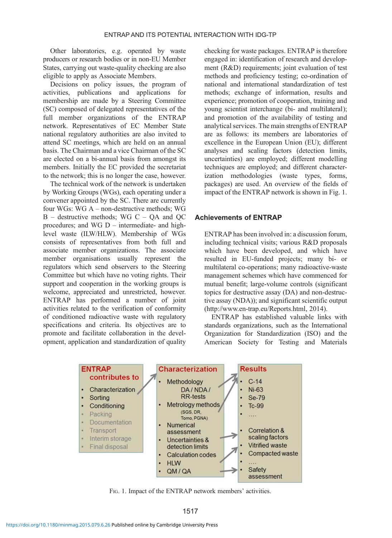Other laboratories, e.g. operated by waste producers or research bodies or in non-EU Member States, carrying out waste-quality checking are also eligible to apply as Associate Members.

Decisions on policy issues, the program of activities, publications and applications for membership are made by a Steering Committee (SC) composed of delegated representatives of the full member organizations of the ENTRAP network. Representatives of EC Member State national regulatory authorities are also invited to attend SC meetings, which are held on an annual basis. The Chairman and a vice Chairman of the SC are elected on a bi-annual basis from amongst its members. Initially the EC provided the secretariat to the network; this is no longer the case, however.

The technical work of the network is undertaken by Working Groups (WGs), each operating under a convener appointed by the SC. There are currently four WGs: WG A – non-destructive methods; WG  $B -$  destructive methods: WG C – OA and OC procedures; and WG D – intermediate- and highlevel waste (ILW/HLW). Membership of WGs consists of representatives from both full and associate member organizations. The associate member organisations usually represent the regulators which send observers to the Steering Committee but which have no voting rights. Their support and cooperation in the working groups is welcome, appreciated and unrestricted, however. ENTRAP has performed a number of joint activities related to the verification of conformity of conditioned radioactive waste with regulatory specifications and criteria. Its objectives are to promote and facilitate collaboration in the development, application and standardization of quality

checking for waste packages. ENTRAP is therefore engaged in: identification of research and development (R&D) requirements; joint evaluation of test methods and proficiency testing; co-ordination of national and international standardization of test methods; exchange of information, results and experience; promotion of cooperation, training and young scientist interchange (bi- and multilateral); and promotion of the availability of testing and analytical services. The main strengths of ENTRAP are as follows: its members are laboratories of excellence in the European Union (EU); different analyses and scaling factors (detection limits, uncertainties) are employed; different modelling techniques are employed; and different characterization methodologies (waste types, forms, packages) are used. An overview of the fields of impact of the ENTRAP network is shown in Fig. 1.

# Achievements of ENTRAP

ENTRAP has been involved in: a discussion forum, including technical visits; various R&D proposals which have been developed, and which have resulted in EU-funded projects; many bi- or multilateral co-operations; many radioactive-waste management schemes which have commenced for mutual benefit; large-volume controls (significant topics for destructive assay (DA) and non-destructive assay (NDA)); and significant scientific output (http://www.en-trap.eu/Reports.html, 2014).

ENTRAP has established valuable links with standards organizations, such as the International Organization for Standardization (ISO) and the American Society for Testing and Materials



FIG. 1. Impact of the ENTRAP network members' activities.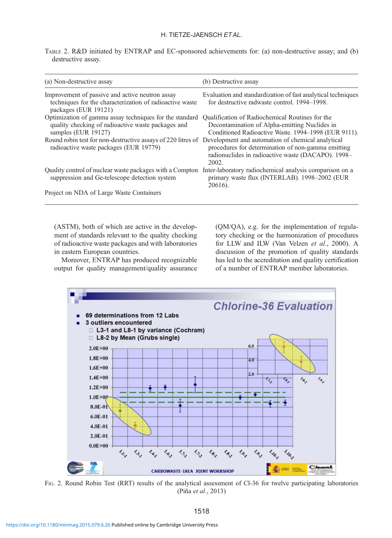### H. TIETZE-JAENSCH ET AL.

<span id="page-3-0"></span>TABLE 2. R&D initiated by ENTRAP and EC-sponsored achievements for: (a) non-destructive assay; and (b) destructive assay.

| (a) Non-destructive assay                                                                                                                                | (b) Destructive assay                                                                                                                                    |
|----------------------------------------------------------------------------------------------------------------------------------------------------------|----------------------------------------------------------------------------------------------------------------------------------------------------------|
| Improvement of passive and active neutron assay<br>techniques for the characterization of radioactive waste<br>packages (EUR 19121)                      | Evaluation and standardization of fast analytical techniques<br>for destructive radwaste control. 1994–1998.                                             |
| Optimization of gamma assay techniques for the standard<br>quality checking of radioactive waste packages and<br>samples (EUR 19127)                     | Qualification of Radiochemical Routines for the<br>Decontamination of Alpha-emitting Nuclides in<br>Conditioned Radioactive Waste. 1994–1998 (EUR 9111). |
| Round robin test for non-destructive assays of 220 litres of Development and automation of chemical analytical<br>radioactive waste packages (EUR 19779) | procedures for determination of non-gamma emitting<br>radionuclides in radioactive waste (DACAPO). 1998-<br>2002                                         |
| Quality control of nuclear waste packages with a Compton<br>suppression and Ge-telescope detection system                                                | Inter-laboratory radiochemical analysis comparison on a<br>primary waste flux (INTERLAB). 1998-2002 (EUR<br>20616).                                      |
| Project on NDA of Large Waste Containers                                                                                                                 |                                                                                                                                                          |

(ASTM), both of which are active in the development of standards relevant to the quality checking of radioactive waste packages and with laboratories in eastern European countries.

Moreover, ENTRAP has produced recognizable output for quality management/quality assurance (QM/QA), e.g. for the implementation of regulatory checking or the harmonization of procedures for LLW and ILW ([Van Velzen](#page-5-0) et al., 2000). A discussion of the promotion of quality standards has led to the accreditation and quality certification of a number of ENTRAP member laboratories.



FIG. 2. Round Robin Test (RRT) results of the analytical assessment of Cl-36 for twelve participating laboratories (Piña et al.[, 2013](#page-4-0))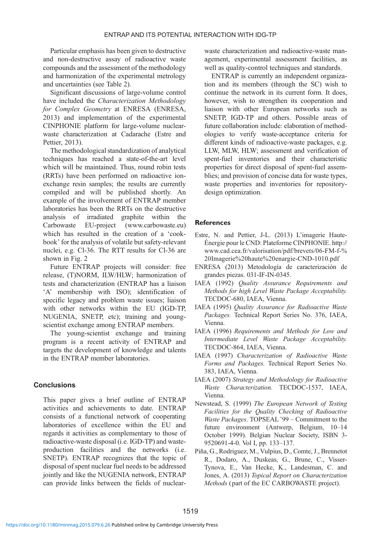<span id="page-4-0"></span>Particular emphasis has been given to destructive and non-destructive assay of radioactive waste compounds and the assessment of the methodology and harmonization of the experimental metrology and uncertainties (see [Table 2](#page-3-0)).

Significant discussions of large-volume control have included the Characterization Methodology for Complex Geometry at ENRESA (ENRESA, 2013) and implementation of the experimental CINPHONIE platform for large-volume nuclearwaste characterization at Cadarache (Estre and Pettier, 2013).

The methodological standardization of analytical techniques has reached a state-of-the-art level which will be maintained. Thus, round robin tests (RRTs) have been performed on radioactive ionexchange resin samples; the results are currently compiled and will be published shortly. An example of the involvement of ENTRAP member laboratories has been the RRTs on the destructive analysis of irradiated graphite within the Carbowaste EU-project [\(www.carbowaste.eu](http://www.carbowaste.eu)) which has resulted in the creation of a 'cookbook' for the analysis of volatile but safety-relevant nuclei, e.g. Cl-36. The RTT results for Cl-36 are shown in [Fig. 2](#page-3-0)

Future ENTRAP projects will consider: free release, (T)NORM, ILW/HLW; harmonization of tests and characterization (ENTRAP has a liaison 'A' membership with ISO); identification of specific legacy and problem waste issues; liaison with other networks within the EU (IGD-TP, NUGENIA, SNETP, etc); training and youngscientist exchange among ENTRAP members.

The young-scientist exchange and training program is a recent activity of ENTRAP and targets the development of knowledge and talents in the ENTRAP member laboratories.

## **Conclusions**

This paper gives a brief outline of ENTRAP activities and achievements to date. ENTRAP consists of a functional network of cooperating laboratories of excellence within the EU and regards it activities as complementary to those of radioactive-waste disposal (i.e. IGD-TP) and wasteproduction facilities and the networks (i.e. SNETP). ENTRAP recognizes that the topic of disposal of spent nuclear fuel needs to be addressed jointly and like the NUGENIA network, ENTRAP can provide links between the fields of nuclear-

waste characterization and radioactive-waste management, experimental assessment facilities, as well as quality-control techniques and standards.

ENTRAP is currently an independent organization and its members (through the SC) wish to continue the network in its current form. It does, however, wish to strengthen its cooperation and liaison with other European networks such as SNETP, IGD-TP and others. Possible areas of future collaboration include: elaboration of methodologies to verify waste-acceptance criteria for different kinds of radioactive-waste packages, e.g. LLW, MLW, HLW; assessment and verification of spent-fuel inventories and their characteristic properties for direct disposal of spent-fuel assemblies; and provision of concise data for waste types, waste properties and inventories for repositorydesign optimization.

#### References

- Estre, N. and Pettier, J-L. (2013) L'imagerie Haute-Énergie pour le CND: Plateforme CINPHONIE. [http://](http://www.cad.cea.fr/valorisation/pdf/brevets/06-FM-f-%20Imagerie%20haute%20enargie-CND-1010.pdf) [www.cad.cea.fr/valorisation/pdf/brevets/06-FM-f-%](http://www.cad.cea.fr/valorisation/pdf/brevets/06-FM-f-%20Imagerie%20haute%20enargie-CND-1010.pdf) [20Imagerie%20haute%20enargie-CND-1010.pdf](http://www.cad.cea.fr/valorisation/pdf/brevets/06-FM-f-%20Imagerie%20haute%20enargie-CND-1010.pdf)
- ENRESA (2013) Metodología de caracterización de grandes piezas. 031-IF-IN-0345.
- IAEA (1992) Quality Assurance Requirements and Methods for high Level Waste Package Acceptability. TECDOC-680, IAEA, Vienna.
- IAEA (1995) Quality Assurance for Radioactive Waste Packages. Technical Report Series No. 376, IAEA, Vienna.
- IAEA (1996) Requirements and Methods for Low and Intermediate Level Waste Package Acceptability. TECDOC-864, IAEA, Vienna.
- IAEA (1997) Characterization of Radioactive Waste Forms and Packages. Technical Report Series No. 383, IAEA, Vienna.
- IAEA (2007) Strategy and Methodology for Radioactive Waste Characterization. TECDOC-1537, IAEA, Vienna.
- Newstead, S. (1999) The European Network of Testing Facilities for the Quality Checking of Radioactive Waste Packages. TOPSEAL '99 – Commitment to the future environment (Antwerp, Belgium, 10–14 October 1999). Belgian Nuclear Society, ISBN 3- 9520691-4-0. Vol I, pp. 133–137.
- Piña, G., Rodriguez, M., Vulpius, D., Comte, J., Brennetot R., Dodaro, A., Duskeas, G., Brune, C., Visser-Tynova, E., Van Hecke, K., Landesman, C. and Jones, A. (2013) Topical Report on Characterization Methods ( part of the EC CARBOWASTE project).